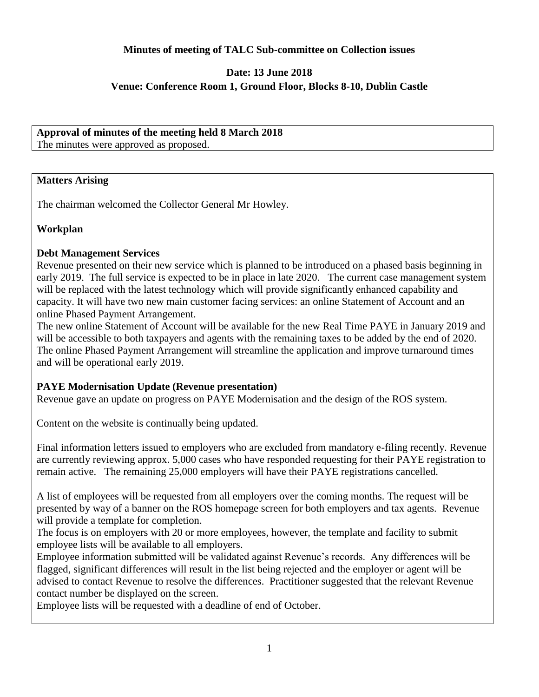#### **Minutes of meeting of TALC Sub-committee on Collection issues**

## **Date: 13 June 2018 Venue: Conference Room 1, Ground Floor, Blocks 8-10, Dublin Castle**

# **Approval of minutes of the meeting held 8 March 2018**

The minutes were approved as proposed.

#### **Matters Arising**

The chairman welcomed the Collector General Mr Howley.

### **Workplan**

### **Debt Management Services**

Revenue presented on their new service which is planned to be introduced on a phased basis beginning in early 2019. The full service is expected to be in place in late 2020. The current case management system will be replaced with the latest technology which will provide significantly enhanced capability and capacity. It will have two new main customer facing services: an online Statement of Account and an online Phased Payment Arrangement.

The new online Statement of Account will be available for the new Real Time PAYE in January 2019 and will be accessible to both taxpayers and agents with the remaining taxes to be added by the end of 2020. The online Phased Payment Arrangement will streamline the application and improve turnaround times and will be operational early 2019.

### **PAYE Modernisation Update (Revenue presentation)**

Revenue gave an update on progress on PAYE Modernisation and the design of the ROS system.

Content on the website is continually being updated.

Final information letters issued to employers who are excluded from mandatory e-filing recently. Revenue are currently reviewing approx. 5,000 cases who have responded requesting for their PAYE registration to remain active. The remaining 25,000 employers will have their PAYE registrations cancelled.

A list of employees will be requested from all employers over the coming months. The request will be presented by way of a banner on the ROS homepage screen for both employers and tax agents. Revenue will provide a template for completion.

The focus is on employers with 20 or more employees, however, the template and facility to submit employee lists will be available to all employers.

Employee information submitted will be validated against Revenue's records. Any differences will be flagged, significant differences will result in the list being rejected and the employer or agent will be advised to contact Revenue to resolve the differences. Practitioner suggested that the relevant Revenue contact number be displayed on the screen.

Employee lists will be requested with a deadline of end of October.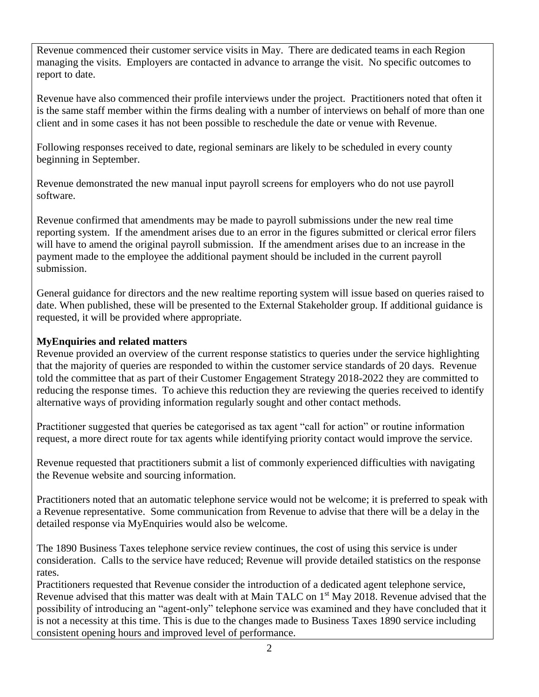Revenue commenced their customer service visits in May. There are dedicated teams in each Region managing the visits. Employers are contacted in advance to arrange the visit. No specific outcomes to report to date.

Revenue have also commenced their profile interviews under the project. Practitioners noted that often it is the same staff member within the firms dealing with a number of interviews on behalf of more than one client and in some cases it has not been possible to reschedule the date or venue with Revenue.

Following responses received to date, regional seminars are likely to be scheduled in every county beginning in September.

Revenue demonstrated the new manual input payroll screens for employers who do not use payroll software.

Revenue confirmed that amendments may be made to payroll submissions under the new real time reporting system. If the amendment arises due to an error in the figures submitted or clerical error filers will have to amend the original payroll submission. If the amendment arises due to an increase in the payment made to the employee the additional payment should be included in the current payroll submission.

General guidance for directors and the new realtime reporting system will issue based on queries raised to date. When published, these will be presented to the External Stakeholder group. If additional guidance is requested, it will be provided where appropriate.

### **MyEnquiries and related matters**

Revenue provided an overview of the current response statistics to queries under the service highlighting that the majority of queries are responded to within the customer service standards of 20 days. Revenue told the committee that as part of their Customer Engagement Strategy 2018-2022 they are committed to reducing the response times. To achieve this reduction they are reviewing the queries received to identify alternative ways of providing information regularly sought and other contact methods.

Practitioner suggested that queries be categorised as tax agent "call for action" or routine information request, a more direct route for tax agents while identifying priority contact would improve the service.

Revenue requested that practitioners submit a list of commonly experienced difficulties with navigating the Revenue website and sourcing information.

Practitioners noted that an automatic telephone service would not be welcome; it is preferred to speak with a Revenue representative. Some communication from Revenue to advise that there will be a delay in the detailed response via MyEnquiries would also be welcome.

The 1890 Business Taxes telephone service review continues, the cost of using this service is under consideration. Calls to the service have reduced; Revenue will provide detailed statistics on the response rates.

Practitioners requested that Revenue consider the introduction of a dedicated agent telephone service, Revenue advised that this matter was dealt with at Main TALC on 1<sup>st</sup> May 2018. Revenue advised that the possibility of introducing an "agent-only" telephone service was examined and they have concluded that it is not a necessity at this time. This is due to the changes made to Business Taxes 1890 service including consistent opening hours and improved level of performance.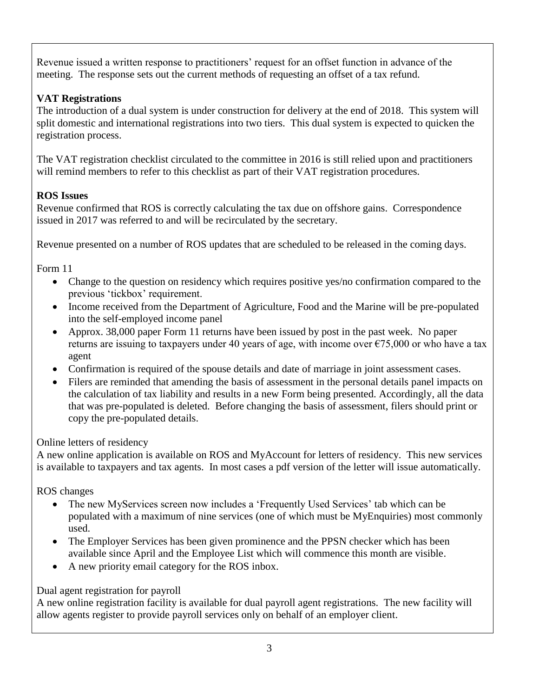Revenue issued a written response to practitioners' request for an offset function in advance of the meeting. The response sets out the current methods of requesting an offset of a tax refund.

# **VAT Registrations**

The introduction of a dual system is under construction for delivery at the end of 2018. This system will split domestic and international registrations into two tiers. This dual system is expected to quicken the registration process.

The VAT registration checklist circulated to the committee in 2016 is still relied upon and practitioners will remind members to refer to this checklist as part of their VAT registration procedures.

# **ROS Issues**

Revenue confirmed that ROS is correctly calculating the tax due on offshore gains. Correspondence issued in 2017 was referred to and will be recirculated by the secretary.

Revenue presented on a number of ROS updates that are scheduled to be released in the coming days.

Form 11

- Change to the question on residency which requires positive yes/no confirmation compared to the previous 'tickbox' requirement.
- Income received from the Department of Agriculture, Food and the Marine will be pre-populated into the self-employed income panel
- Approx. 38,000 paper Form 11 returns have been issued by post in the past week. No paper returns are issuing to taxpayers under 40 years of age, with income over  $\epsilon$ 75,000 or who have a tax agent
- Confirmation is required of the spouse details and date of marriage in joint assessment cases.
- Filers are reminded that amending the basis of assessment in the personal details panel impacts on the calculation of tax liability and results in a new Form being presented. Accordingly, all the data that was pre-populated is deleted. Before changing the basis of assessment, filers should print or copy the pre-populated details.

# Online letters of residency

A new online application is available on ROS and MyAccount for letters of residency. This new services is available to taxpayers and tax agents. In most cases a pdf version of the letter will issue automatically.

ROS changes

- The new MyServices screen now includes a 'Frequently Used Services' tab which can be populated with a maximum of nine services (one of which must be MyEnquiries) most commonly used.
- The Employer Services has been given prominence and the PPSN checker which has been available since April and the Employee List which will commence this month are visible.
- A new priority email category for the ROS inbox.

# Dual agent registration for payroll

A new online registration facility is available for dual payroll agent registrations. The new facility will allow agents register to provide payroll services only on behalf of an employer client.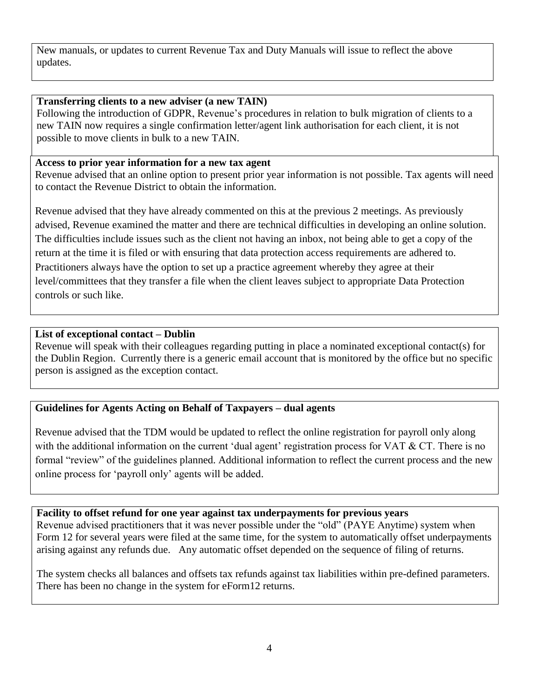New manuals, or updates to current Revenue Tax and Duty Manuals will issue to reflect the above updates.

#### **Transferring clients to a new adviser (a new TAIN)**

Following the introduction of GDPR, Revenue's procedures in relation to bulk migration of clients to a new TAIN now requires a single confirmation letter/agent link authorisation for each client, it is not possible to move clients in bulk to a new TAIN.

#### **Access to prior year information for a new tax agent**

Revenue advised that an online option to present prior year information is not possible. Tax agents will need to contact the Revenue District to obtain the information.

Revenue advised that they have already commented on this at the previous 2 meetings. As previously advised, Revenue examined the matter and there are technical difficulties in developing an online solution. The difficulties include issues such as the client not having an inbox, not being able to get a copy of the return at the time it is filed or with ensuring that data protection access requirements are adhered to. Practitioners always have the option to set up a practice agreement whereby they agree at their level/committees that they transfer a file when the client leaves subject to appropriate Data Protection controls or such like.

#### **List of exceptional contact – Dublin**

Revenue will speak with their colleagues regarding putting in place a nominated exceptional contact(s) for the Dublin Region. Currently there is a generic email account that is monitored by the office but no specific person is assigned as the exception contact.

#### **Guidelines for Agents Acting on Behalf of Taxpayers – dual agents**

Revenue advised that the TDM would be updated to reflect the online registration for payroll only along with the additional information on the current 'dual agent' registration process for VAT & CT. There is no formal "review" of the guidelines planned. Additional information to reflect the current process and the new online process for 'payroll only' agents will be added.

**Facility to offset refund for one year against tax underpayments for previous years**

Revenue advised practitioners that it was never possible under the "old" (PAYE Anytime) system when Form 12 for several years were filed at the same time, for the system to automatically offset underpayments arising against any refunds due. Any automatic offset depended on the sequence of filing of returns.

The system checks all balances and offsets tax refunds against tax liabilities within pre-defined parameters. There has been no change in the system for eForm12 returns.